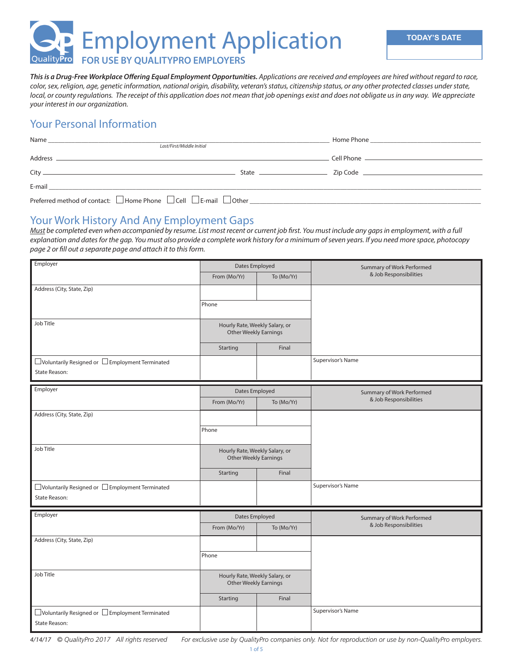**Buya Employment Application** 

QualityPro **FOR USE BY QUALITYPRO EMPLOYERS**

*This is a Drug-Free Workplace Offering Equal Employment Opportunities. Applications are received and employees are hired without regard to race, color, sex, religion, age, genetic information, national origin, disability, veteran's status, citizenship status, or any other protected classes under state, local, or county regulations. The receipt of this application does not mean that job openings exist and does not obligate us in any way. We appreciate your interest in our organization.*

### Your Personal Information

| Name                                                                                         |  |
|----------------------------------------------------------------------------------------------|--|
| Last/First/Middle Initial                                                                    |  |
|                                                                                              |  |
|                                                                                              |  |
|                                                                                              |  |
|                                                                                              |  |
| Preferred method of contact: $\Box$ Home Phone $\Box$ Cell $\Box$ E-mail $\Box$ Other $\Box$ |  |

#### Your Work History And Any Employment Gaps

*Must be completed even when accompanied by resume. List most recent or current job first. You must include any gaps in employment, with a full explanation and dates for the gap. You must also provide a complete work history for a minimum of seven years. If you need more space, photocopy page 2 or fill out a separate page and attach it to this form.*

| Employer                                                                  | Dates Employed                                                                      |            | Summary of Work Performed                           |  |
|---------------------------------------------------------------------------|-------------------------------------------------------------------------------------|------------|-----------------------------------------------------|--|
|                                                                           | From (Mo/Yr)                                                                        | To (Mo/Yr) | & Job Responsibilities                              |  |
| Address (City, State, Zip)                                                |                                                                                     |            |                                                     |  |
|                                                                           | Phone                                                                               |            |                                                     |  |
|                                                                           |                                                                                     |            |                                                     |  |
| Job Title                                                                 | Hourly Rate, Weekly Salary, or                                                      |            |                                                     |  |
|                                                                           | <b>Other Weekly Earnings</b>                                                        |            |                                                     |  |
|                                                                           | Starting                                                                            | Final      |                                                     |  |
| □ Voluntarily Resigned or □ Employment Terminated                         |                                                                                     |            | Supervisor's Name                                   |  |
| State Reason:                                                             |                                                                                     |            |                                                     |  |
| Employer                                                                  | Dates Employed                                                                      |            |                                                     |  |
|                                                                           | From (Mo/Yr)                                                                        | To (Mo/Yr) | Summary of Work Performed<br>& Job Responsibilities |  |
| Address (City, State, Zip)                                                |                                                                                     |            |                                                     |  |
|                                                                           |                                                                                     |            |                                                     |  |
|                                                                           | Phone                                                                               |            |                                                     |  |
| Job Title                                                                 | Hourly Rate, Weekly Salary, or<br><b>Other Weekly Earnings</b><br>Final<br>Starting |            |                                                     |  |
|                                                                           |                                                                                     |            |                                                     |  |
|                                                                           |                                                                                     |            |                                                     |  |
|                                                                           |                                                                                     |            | Supervisor's Name                                   |  |
| □ Voluntarily Resigned or □ Employment Terminated<br><b>State Reason:</b> |                                                                                     |            |                                                     |  |
|                                                                           |                                                                                     |            |                                                     |  |
| Employer                                                                  | Dates Employed                                                                      |            | Summary of Work Performed                           |  |
|                                                                           | From (Mo/Yr)                                                                        | To (Mo/Yr) | & Job Responsibilities                              |  |
| Address (City, State, Zip)                                                |                                                                                     |            |                                                     |  |
|                                                                           | Phone                                                                               |            |                                                     |  |
|                                                                           |                                                                                     |            |                                                     |  |
| Job Title                                                                 | Hourly Rate, Weekly Salary, or<br><b>Other Weekly Earnings</b>                      |            |                                                     |  |
|                                                                           |                                                                                     |            |                                                     |  |
|                                                                           | Starting                                                                            | Final      |                                                     |  |
| $\Box$ Voluntarily Resigned or $\Box$ Employment Terminated               |                                                                                     |            | Supervisor's Name                                   |  |
| <b>State Reason:</b>                                                      |                                                                                     |            |                                                     |  |

*4/14/17 © QualityPro 2017 All rights reserved For exclusive use by QualityPro companies only. Not for reproduction or use by non-QualityPro employers.*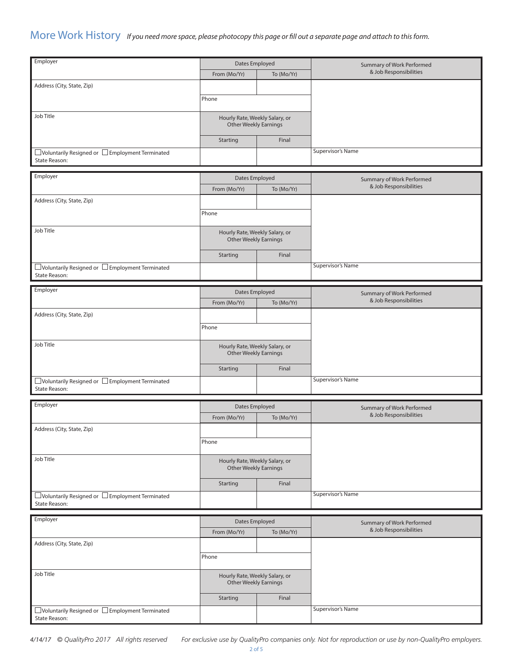#### More Work History If you need more space, please photocopy this page or fill out a separate page and attach to this form.

| Employer                                                                           | <b>Dates Employed</b>                                          |            | Summary of Work Performed                           |
|------------------------------------------------------------------------------------|----------------------------------------------------------------|------------|-----------------------------------------------------|
|                                                                                    | From (Mo/Yr)                                                   | To (Mo/Yr) | & Job Responsibilities                              |
| Address (City, State, Zip)                                                         |                                                                |            |                                                     |
|                                                                                    | Phone                                                          |            |                                                     |
|                                                                                    |                                                                |            |                                                     |
| Job Title                                                                          | Hourly Rate, Weekly Salary, or                                 |            |                                                     |
|                                                                                    | <b>Other Weekly Earnings</b>                                   |            |                                                     |
|                                                                                    | Starting                                                       | Final      |                                                     |
| $\Box$ Voluntarily Resigned or $\Box$ Employment Terminated                        |                                                                |            | <b>Supervisor's Name</b>                            |
| State Reason:                                                                      |                                                                |            |                                                     |
| Employer                                                                           |                                                                |            |                                                     |
|                                                                                    | Dates Employed                                                 |            | Summary of Work Performed<br>& Job Responsibilities |
|                                                                                    | From (Mo/Yr)                                                   | To (Mo/Yr) |                                                     |
| Address (City, State, Zip)                                                         |                                                                |            |                                                     |
|                                                                                    | Phone                                                          |            |                                                     |
| Job Title                                                                          |                                                                |            |                                                     |
|                                                                                    | Hourly Rate, Weekly Salary, or<br><b>Other Weekly Earnings</b> |            |                                                     |
|                                                                                    |                                                                |            |                                                     |
|                                                                                    | Starting                                                       | Final      |                                                     |
| □ Voluntarily Resigned or □ Employment Terminated<br>State Reason:                 |                                                                |            | Supervisor's Name                                   |
|                                                                                    |                                                                |            |                                                     |
| Employer                                                                           | Dates Employed                                                 |            | Summary of Work Performed                           |
|                                                                                    | From (Mo/Yr)                                                   | To (Mo/Yr) | & Job Responsibilities                              |
| Address (City, State, Zip)                                                         |                                                                |            |                                                     |
|                                                                                    | Phone                                                          |            |                                                     |
|                                                                                    |                                                                |            |                                                     |
| Job Title                                                                          | Hourly Rate, Weekly Salary, or<br>Other Weekly Earnings        |            |                                                     |
|                                                                                    |                                                                |            |                                                     |
|                                                                                    | Starting                                                       | Final      |                                                     |
| $\exists$ Voluntarily Resigned or $\,\Box$ Employment Terminated                   |                                                                |            | <b>Supervisor's Name</b>                            |
| State Reason:                                                                      |                                                                |            |                                                     |
| Employer                                                                           | Dates Employed                                                 |            | Summary of Work Performed                           |
|                                                                                    | From (Mo/Yr)                                                   | To (Mo/Yr) | & Job Responsibilities                              |
| Address (City, State, Zip)                                                         |                                                                |            |                                                     |
|                                                                                    | Phone                                                          |            |                                                     |
|                                                                                    |                                                                |            |                                                     |
| Job Title                                                                          | Hourly Rate, Weekly Salary, or                                 |            |                                                     |
|                                                                                    | Other Weekly Earnings                                          |            |                                                     |
|                                                                                    | Starting                                                       | Final      |                                                     |
| □ Voluntarily Resigned or □ Employment Terminated                                  |                                                                |            | Supervisor's Name                                   |
| State Reason:                                                                      |                                                                |            |                                                     |
| Employer                                                                           |                                                                |            |                                                     |
|                                                                                    | Dates Employed                                                 |            | Summary of Work Performed<br>& Job Responsibilities |
|                                                                                    | From (Mo/Yr)                                                   | To (Mo/Yr) |                                                     |
| Address (City, State, Zip)                                                         |                                                                |            |                                                     |
|                                                                                    | Phone                                                          |            |                                                     |
| Job Title                                                                          |                                                                |            |                                                     |
|                                                                                    | Hourly Rate, Weekly Salary, or<br><b>Other Weekly Earnings</b> |            |                                                     |
|                                                                                    |                                                                |            |                                                     |
|                                                                                    | Starting                                                       | Final      |                                                     |
| $\square$ Voluntarily Resigned or $\square$ Employment Terminated<br>State Reason: |                                                                |            | <b>Supervisor's Name</b>                            |
|                                                                                    |                                                                |            |                                                     |

*4/14/17 © QualityPro 2017 All rights reserved For exclusive use by QualityPro companies only. Not for reproduction or use by non-QualityPro employers.*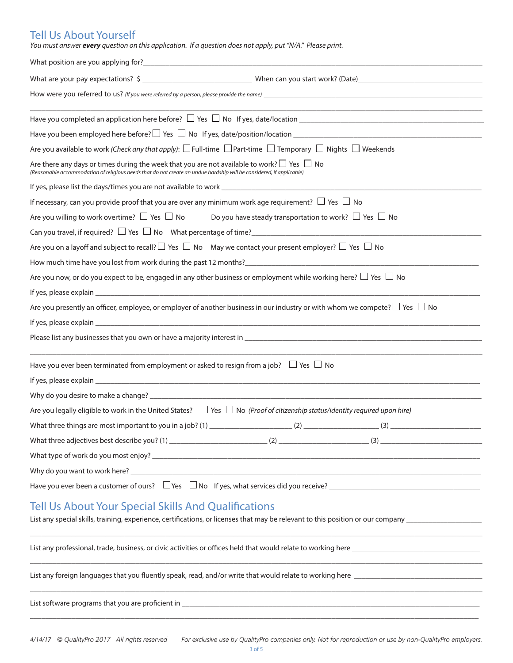# Tell Us About Yourself

| You must answer every question on this application. If a question does not apply, put "N/A." Please print. |  |  |  |  |  |
|------------------------------------------------------------------------------------------------------------|--|--|--|--|--|
|------------------------------------------------------------------------------------------------------------|--|--|--|--|--|

| What are your pay expectations? $\frac{1}{2}$ $\frac{1}{2}$ when can you start work? (Date)                                                                                                                                       |
|-----------------------------------------------------------------------------------------------------------------------------------------------------------------------------------------------------------------------------------|
| How were you referred to us? (If you were referred by a person, please provide the name)                                                                                                                                          |
| Have you completed an application here before? $\Box$ Yes $\Box$ No If yes, date/location $\Box$                                                                                                                                  |
|                                                                                                                                                                                                                                   |
| Are you available to work (Check any that apply): $\Box$ Full-time $\Box$ Part-time $\Box$ Temporary $\Box$ Nights $\Box$ Weekends                                                                                                |
| Are there any days or times during the week that you are not available to work? $\Box$ Yes $\Box$ No<br>(Reasonable accommodation of religious needs that do not create an undue hardship will be considered, if applicable)      |
|                                                                                                                                                                                                                                   |
| If necessary, can you provide proof that you are over any minimum work age requirement? $\Box$ Yes $\Box$ No                                                                                                                      |
| Are you willing to work overtime? $\Box$ Yes $\Box$ No Do you have steady transportation to work? $\Box$ Yes $\Box$ No                                                                                                            |
| Can you travel, if required? $\Box$ Yes $\Box$ No What percentage of time?                                                                                                                                                        |
| Are you on a layoff and subject to recall? $\Box$ Yes $\Box$ No May we contact your present employer? $\Box$ Yes $\Box$ No                                                                                                        |
| How much time have you lost from work during the past 12 months?<br>The matrix and the matrix and the past 12 months?<br>The matrix and the matrix and the matrix and the matrix and the matrix and the matrix and the matrix and |
| Are you now, or do you expect to be, engaged in any other business or employment while working here? $\Box$ Yes $\Box$ No                                                                                                         |
|                                                                                                                                                                                                                                   |
| Are you presently an officer, employee, or employer of another business in our industry or with whom we compete? $\Box$ Yes $\Box$ No                                                                                             |
|                                                                                                                                                                                                                                   |
|                                                                                                                                                                                                                                   |
| Have you ever been terminated from employment or asked to resign from a job? $\Box$ Yes $\Box$ No                                                                                                                                 |
|                                                                                                                                                                                                                                   |
| Why do you desire to make a change? Department of the control of the control of the control of the control of the control of the control of the control of the control of the control of the control of the control of the con    |
| Are you legally eligible to work in the United States? $\Box$ Yes $\Box$ No (Proof of citizenship status/identity required upon hire)                                                                                             |
|                                                                                                                                                                                                                                   |
|                                                                                                                                                                                                                                   |
|                                                                                                                                                                                                                                   |
|                                                                                                                                                                                                                                   |
| Have you ever been a customer of ours?<br>UYes  U No If yes, what services did you receive?<br>U Nonel Communication Communication Communication and Communication of the UVes UVes UVes International UVes                       |
| <b>Tell Us About Your Special Skills And Qualifications</b><br><u> 1989 - Johann Stoff, Amerikaansk politiker (* 1908)</u>                                                                                                        |
|                                                                                                                                                                                                                                   |
|                                                                                                                                                                                                                                   |
|                                                                                                                                                                                                                                   |

 $\Box$  . The contribution of the contribution of the contribution of the contribution of the contribution of the contribution of the contribution of the contribution of the contribution of the contribution of the contributi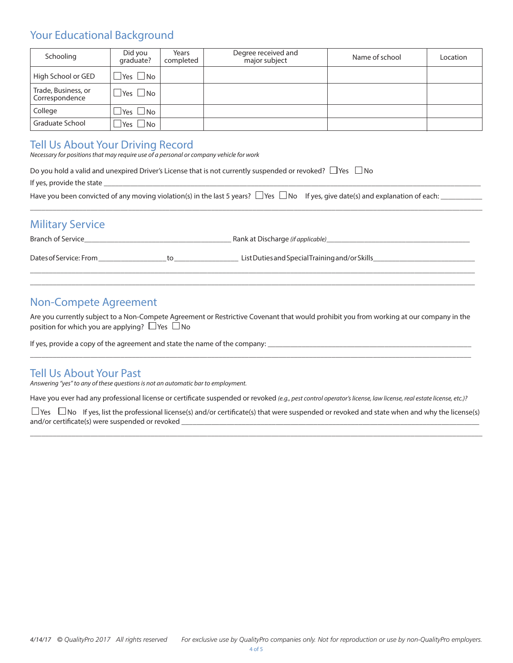### Your Educational Background

| Schooling                             | Did you<br>graduate?       | Years<br>completed | Degree received and<br>major subject | Name of school | Location |
|---------------------------------------|----------------------------|--------------------|--------------------------------------|----------------|----------|
| High School or GED                    | $\Box$ Yes $\Box$ No       |                    |                                      |                |          |
| Trade, Business, or<br>Correspondence | $\Box$ Yes $\Box$ No       |                    |                                      |                |          |
| College                               | $\square$ Yes $\square$ No |                    |                                      |                |          |
| <b>Graduate School</b>                | $\Box$ Yes $\Box$ No       |                    |                                      |                |          |

### Tell Us About Your Driving Record

*Necessary for positions that may require use of a personal or company vehicle for work*

| Do you hold a valid and unexpired Driver's License that is not currently suspended or revoked? $\Box$ Yes $\Box$ No                        |  |
|--------------------------------------------------------------------------------------------------------------------------------------------|--|
| If yes, provide the state                                                                                                                  |  |
| Have you been convicted of any moving violation(s) in the last 5 years? $\Box$ Yes $\Box$ No If yes, give date(s) and explanation of each: |  |

## Military Service

| <b>Branch of Service</b> |  | Rank at Discharge (if applicable)              |
|--------------------------|--|------------------------------------------------|
| Dates of Service: From   |  | List Duties and Special Training and/or Skills |

 $\Box$  . The contribution of the contribution of the contribution of the contribution of the contribution of the contribution of the contribution of the contribution of the contribution of the contribution of the contributi  $\Box$  . The contribution of the contribution of the contribution of the contribution of the contribution of the contribution of the contribution of the contribution of the contribution of the contribution of the contributi

\_\_\_\_\_\_\_\_\_\_\_\_\_\_\_\_\_\_\_\_\_\_\_\_\_\_\_\_\_\_\_\_\_\_\_\_\_\_\_\_\_\_\_\_\_\_\_\_\_\_\_\_\_\_\_\_\_\_\_\_\_\_\_\_\_\_\_\_\_\_\_\_\_\_\_\_\_\_\_\_\_\_\_\_\_\_\_\_\_\_\_\_\_\_\_\_\_\_\_\_\_\_\_\_\_\_\_\_\_\_\_\_\_\_\_\_\_\_\_\_

### Non-Compete Agreement

Are you currently subject to a Non-Compete Agreement or Restrictive Covenant that would prohibit you from working at our company in the position for which you are applying?  $\Box$  Yes  $\Box$  No

 $\Box$  . The contribution of the contribution of the contribution of the contribution of the contribution of the contribution of the contribution of the contribution of the contribution of the contribution of the contributi

If yes, provide a copy of the agreement and state the name of the company:

#### Tell Us About Your Past

*Answering "yes" to any of these questions is not an automatic bar to employment.*

Have you ever had any professional license or certificate suspended or revoked *(e.g., pest control operator's license, law license, real estate license, etc.)?* 

 $\Box$  Yes  $\Box$  No If yes, list the professional license(s) and/or certificate(s) that were suspended or revoked and state when and why the license(s) and/or certificate(s) were suspended or revoked \_

\_\_\_\_\_\_\_\_\_\_\_\_\_\_\_\_\_\_\_\_\_\_\_\_\_\_\_\_\_\_\_\_\_\_\_\_\_\_\_\_\_\_\_\_\_\_\_\_\_\_\_\_\_\_\_\_\_\_\_\_\_\_\_\_\_\_\_\_\_\_\_\_\_\_\_\_\_\_\_\_\_\_\_\_\_\_\_\_\_\_\_\_\_\_\_\_\_\_\_\_\_\_\_\_\_\_\_\_\_\_\_\_\_\_\_\_\_\_\_\_